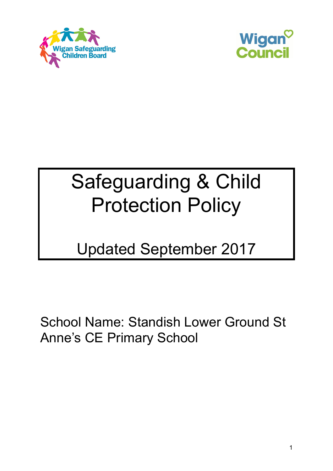



# Safeguarding & Child Protection Policy

# Updated September 2017

School Name: Standish Lower Ground St Anne's CE Primary School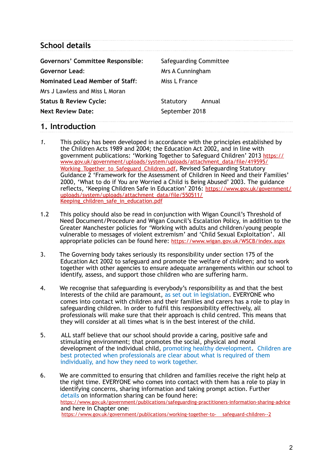## **School details**

| <b>Governors' Committee Responsible:</b> | <b>Safeguarding Committee</b> |
|------------------------------------------|-------------------------------|
| <b>Governor Lead:</b>                    | Mrs A Cunningham              |
| <b>Nominated Lead Member of Staff:</b>   | Miss L France                 |
| Mrs J Lawless and Miss L Moran           |                               |
| <b>Status &amp; Review Cycle:</b>        | Statutory<br>Annual           |
| <b>Next Review Date:</b>                 | September 2018                |
|                                          |                               |

## **1. Introduction**

- *1.* This policy has been developed in accordance with the principles established by the Children Acts 1989 and 2004; the Education Act 2002, and in line with [government publications: 'Working Together to Safeguard Children' 2013 https://](https://www.gov.uk/government/uploads/system/uploads/attachment_data/file/419595/Working_Together_to_Safeguard_Children.pdf) [www.gov.uk/government/uploads/system/uploads/attachment\\_data/file/419595/](https://www.gov.uk/government/uploads/system/uploads/attachment_data/file/419595/Working_Together_to_Safeguard_Children.pdf) Working Together to Safeguard Children.pdf, Revised Safeguarding Statutory Guidance 2 'Framework for the Assessment of Children in Need and their Families' 2000, 'What to do if You are Worried a Child is Being Abused' 2003. The guidance reflects, 'Keeping Children Safe in Education' 2016: [https://www.gov.uk/government/](https://www.gov.uk/government/uploads/system/uploads/attachment_data/file/550511/Keeping_children_safe_in_education.pdf) [uploads/system/uploads/attachment\\_data/file/550511/](https://www.gov.uk/government/uploads/system/uploads/attachment_data/file/550511/Keeping_children_safe_in_education.pdf) [Keeping\\_children\\_safe\\_in\\_education.pdf](https://www.gov.uk/government/uploads/system/uploads/attachment_data/file/550511/Keeping_children_safe_in_education.pdf)
- 1.2 This policy should also be read in conjunction with Wigan Council's Threshold of Need Document/Procedure and Wigan Council's Escalation Policy, in addition to the Greater Manchester policies for 'Working with adults and children/young people vulnerable to messages of violent extremism' and 'Child Sexual Exploitation'. All appropriate policies can be found here:<https://www.wigan.gov.uk/WSCB/index.aspx>
- 3. The Governing body takes seriously its responsibility under section 175 of the Education Act 2002 to safeguard and promote the welfare of children; and to work together with other agencies to ensure adequate arrangements within our school to identify, assess, and support those children who are suffering harm.
- 4. We recognise that safeguarding is everybody's responsibility as and that the best Interests of the child are paramount, as set out in legislation. EVERYONE who comes into contact with children and their families and carers has a role to play in safeguarding children. In order to fulfil this responsibility effectively, all professionals will make sure that their approach is child centred. This means that they will consider at all times what is in the best interest of the child.
- 5. ALL staff believe that our school should provide a caring, positive safe and stimulating environment; that promotes the social, physical and moral development of the individual child, promoting healthy development. Children are best protected when professionals are clear about what is required of them individually, and how they need to work together.
- 6. We are committed to ensuring that children and families receive the right help at the right time. EVERYONE who comes into contact with them has a role to play in identifying concerns, sharing information and taking prompt action. Further details on information sharing can be found here: <https://www.gov.uk/government/publications/safeguarding-practitioners-information-sharing-advice> and here in Chapter one: [https://www.gov.uk/government/publications/working-together-to- safeguard-children--2](https://www.gov.uk/government/publications/working-together-to-%20%20%20%20safeguard-children--2)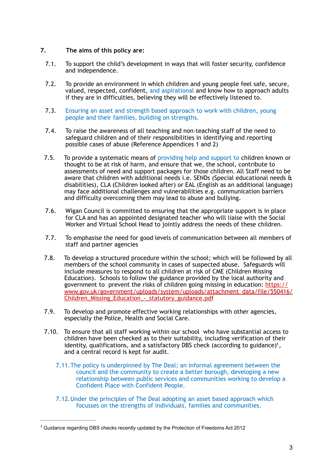#### **7. The aims of this policy are:**

- 7.1. To support the child's development in ways that will foster security, confidence and independence.
- 7.2. To provide an environment in which children and young people feel safe, secure, valued, respected, confident, and aspirational and know how to approach adults if they are in difficulties, believing they will be effectively listened to.
- 7.3. Ensuring an asset and strength based approach to work with children, young people and their families, building on strengths.
- 7.4. To raise the awareness of all teaching and non-teaching staff of the need to safeguard children and of their responsibilities in identifying and reporting possible cases of abuse (Reference Appendices 1 and 2)
- 7.5. To provide a systematic means of providing help and support to children known or thought to be at risk of harm, and ensure that we, the school, contribute to assessments of need and support packages for those children. All Staff need to be aware that children with additional needs i.e. SENDs (Special educational needs & disabilities), CLA (Children looked after) or EAL (English as an additional language) may face additional challenges and vulnerabilities e.g. communication barriers and difficulty overcoming them may lead to abuse and bullying.
- 7.6. Wigan Council is committed to ensuring that the appropriate support is in place for CLA and has an appointed designated teacher who will liaise with the Social Worker and Virtual School Head to jointly address the needs of these children.
- 7.7. To emphasise the need for good levels of communication between all members of staff and partner agencies
- 7.8. To develop a structured procedure within the school; which will be followed by all members of the school community in cases of suspected abuse. Safeguards will include measures to respond to all children at risk of CME (Children Missing Education). Schools to follow the guidance provided by the local authority and government to prevent the risks of children going missing in education: [https://](https://www.gov.uk/government/uploads/system/uploads/attachment_data/file/550416/Children_Missing_Education_-_statutory_guidance.pdf) [www.gov.uk/government/uploads/system/uploads/attachment\\_data/file/550416/](https://www.gov.uk/government/uploads/system/uploads/attachment_data/file/550416/Children_Missing_Education_-_statutory_guidance.pdf) [Children\\_Missing\\_Education\\_-\\_statutory\\_guidance.pdf](https://www.gov.uk/government/uploads/system/uploads/attachment_data/file/550416/Children_Missing_Education_-_statutory_guidance.pdf)
- 7.9. To develop and promote effective working relationships with other agencies, especially the Police, Health and Social Care.
- <span id="page-2-1"></span>7.10. To ensure that all staff working within our school who have substantial access to children have been checked as to their suitability, including verification of their identity, qualifications, and a satisfactory DBS check (according to guidance)<sup>[1](#page-2-0)</sup>, and a central record is kept for audit.
	- 7.11.The policy is underpinned by The Deal; an informal agreement between the council and the community to create a better borough, developing a new relationship between public services and communities working to develop a Confident Place with Confident People.
	- 7.12.Under the principles of The Deal adopting an asset based approach which focusses on the strengths of individuals, families and communities.

<span id="page-2-0"></span><sup>&</sup>lt;sup>[1](#page-2-1)</sup> Guidance regarding DBS checks recently updated by the Protection of Freedoms Act 2012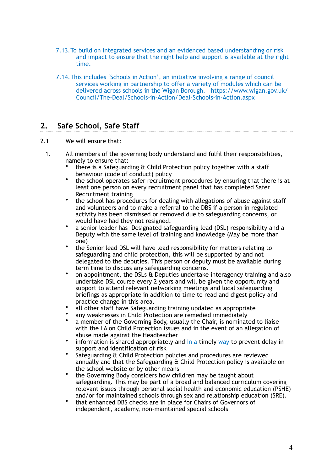- 7.13.To build on integrated services and an evidenced based understanding or risk and impact to ensure that the right help and support is available at the right time.
- 7.14.This includes 'Schools in Action', an initiative involving a range of council services working in partnership to offer a variety of modules which can be delivered across schools in the Wigan Borough. https://www.wigan.gov.uk/ Council/The-Deal/Schools-in-Action/Deal-Schools-in-Action.aspx

## **2. Safe School, Safe Staff**

- 2.1 We will ensure that:
	- 1. All members of the governing body understand and fulfil their responsibilities, namely to ensure that:
		- there is a Safeguarding & Child Protection policy together with a staff behaviour (code of conduct) policy
		- the school operates safer recruitment procedures by ensuring that there is at least one person on every recruitment panel that has completed Safer Recruitment training
		- the school has procedures for dealing with allegations of abuse against staff and volunteers and to make a referral to the DBS if a person in regulated activity has been dismissed or removed due to safeguarding concerns, or would have had they not resigned.
		- a senior leader has Designated safeguarding lead (DSL) responsibility and a Deputy with the same level of training and knowledge (May be more than one)
		- the Senior lead DSL will have lead responsibility for matters relating to safeguarding and child protection, this will be supported by and not delegated to the deputies. This person or deputy must be available during term time to discuss any safeguarding concerns.
		- on appointment, the DSLs & Deputies undertake interagency training and also undertake DSL course every 2 years and will be given the opportunity and support to attend relevant networking meetings and local safeguarding briefings as appropriate in addition to time to read and digest policy and practice change in this area.
		- all other staff have Safeguarding training updated as appropriate
		- any weaknesses in Child Protection are remedied immediately
		- a member of the Governing Body, usually the Chair, is nominated to liaise with the LA on Child Protection issues and in the event of an allegation of abuse made against the Headteacher
		- information is shared appropriately and in a timely way to prevent delay in support and identification of risk
		- Safeguarding & Child Protection policies and procedures are reviewed annually and that the Safeguarding & Child Protection policy is available on the school website or by other means
		- the Governing Body considers how children may be taught about safeguarding. This may be part of a broad and balanced curriculum covering relevant issues through personal social health and economic education (PSHE) and/or for maintained schools through sex and relationship education (SRE).
		- that enhanced DBS checks are in place for Chairs of Governors of independent, academy, non-maintained special schools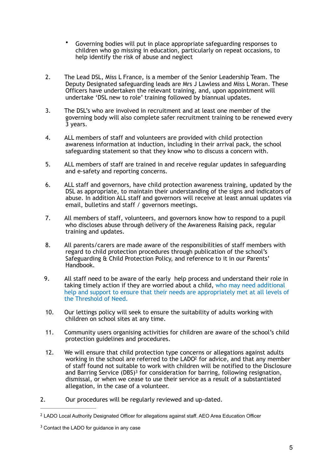- Governing bodies will put in place appropriate safeguarding responses to children who go missing in education, particularly on repeat occasions, to help identify the risk of abuse and neglect
- 2. The Lead DSL, Miss L France, is a member of the Senior Leadership Team. The Deputy Designated safeguarding leads are Mrs J Lawless and Miss L Moran. These Officers have undertaken the relevant training, and, upon appointment will undertake 'DSL new to role' training followed by biannual updates.
- 3. The DSL's who are involved in recruitment and at least one member of the governing body will also complete safer recruitment training to be renewed every 3 years.
- 4. ALL members of staff and volunteers are provided with child protection awareness information at induction, including in their arrival pack, the school safeguarding statement so that they know who to discuss a concern with.
- 5. ALL members of staff are trained in and receive regular updates in safeguarding and e-safety and reporting concerns.
- 6. ALL staff and governors, have child protection awareness training, updated by the DSL as appropriate, to maintain their understanding of the signs and indicators of abuse. In addition ALL staff and governors will receive at least annual updates via email, bulletins and staff / governors meetings.
- 7. All members of staff, volunteers, and governors know how to respond to a pupil who discloses abuse through delivery of the Awareness Raising pack, regular training and updates.
- 8. All parents/carers are made aware of the responsibilities of staff members with regard to child protection procedures through publication of the school's Safeguarding & Child Protection Policy, and reference to it in our Parents' Handbook.
- 9. All staff need to be aware of the early help process and understand their role in taking timely action if they are worried about a child, who may need additional help and support to ensure that their needs are appropriately met at all levels of the Threshold of Need.
- 10. Our lettings policy will seek to ensure the suitability of adults working with children on school sites at any time.
- 11. Community users organising activities for children are aware of the school's child protection guidelines and procedures.
- <span id="page-4-3"></span><span id="page-4-2"></span>12. We will ensure that child protection type concerns or allegations against adults working in the school are referred to the  $LADO<sup>2</sup>$  $LADO<sup>2</sup>$  $LADO<sup>2</sup>$  $LADO<sup>2</sup>$  $LADO<sup>2</sup>$  for advice, and that any member of staff found not suitable to work with children will be notified to the Disclosure andBarring Service (DBS)<sup>[3](#page-4-1)</sup> for consideration for barring, following resignation, dismissal, or when we cease to use their service as a result of a substantiated allegation, in the case of a volunteer.
- 2. Our procedures will be regularly reviewed and up-dated.

<span id="page-4-0"></span><sup>&</sup>lt;sup>[2](#page-4-2)</sup> LADO Local Authority Designated Officer for allegations against staff. AEO Area Education Officer

<span id="page-4-1"></span> $3$  Contact the LADO for guidance in any case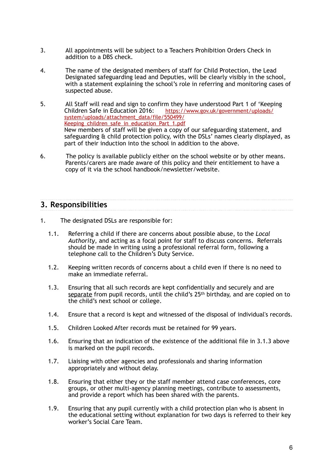- 3. All appointments will be subject to a Teachers Prohibition Orders Check in addition to a DBS check.
- 4. The name of the designated members of staff for Child Protection, the Lead Designated safeguarding lead and Deputies, will be clearly visibly in the school, with a statement explaining the school's role in referring and monitoring cases of suspected abuse.
- 5. All Staff will read and sign to confirm they have understood Part 1 of 'Keeping<br>Children Safe in Education 2016: https://www.gov.uk/government/uploads/ https://www.gov.uk/government/uploads/ [system/uploads/attachment\\_data/file/550499/](https://www.gov.uk/government/uploads/system/uploads/attachment_data/file/550499/Keeping_children_safe_in_education_Part_1.pdf) Keeping children safe in education Part 1.pdf New members of staff will be given a copy of our safeguarding statement, and safeguarding & child protection policy, with the DSLs' names clearly displayed, as part of their induction into the school in addition to the above.
- 6. The policy is available publicly either on the school website or by other means. Parents/carers are made aware of this policy and their entitlement to have a copy of it via the school handbook/newsletter/website.

## **3. Responsibilities**

- 1. The designated DSLs are responsible for:
	- 1.1. Referring a child if there are concerns about possible abuse, to the *Local Authority*, and acting as a focal point for staff to discuss concerns. Referrals should be made in writing using a professional referral form, following a telephone call to the Children's Duty Service.
	- 1.2. Keeping written records of concerns about a child even if there is no need to make an immediate referral.
	- 1.3. Ensuring that all such records are kept confidentially and securely and are separate from pupil records, until the child's 25<sup>th</sup> birthday, and are copied on to the child's next school or college.
	- 1.4. Ensure that a record is kept and witnessed of the disposal of individual's records.
	- 1.5. Children Looked After records must be retained for 99 years.
	- 1.6. Ensuring that an indication of the existence of the additional file in 3.1.3 above is marked on the pupil records.
	- 1.7. Liaising with other agencies and professionals and sharing information appropriately and without delay.
	- 1.8. Ensuring that either they or the staff member attend case conferences, core groups, or other multi-agency planning meetings, contribute to assessments, and provide a report which has been shared with the parents.
	- 1.9. Ensuring that any pupil currently with a child protection plan who is absent in the educational setting without explanation for two days is referred to their key worker's Social Care Team.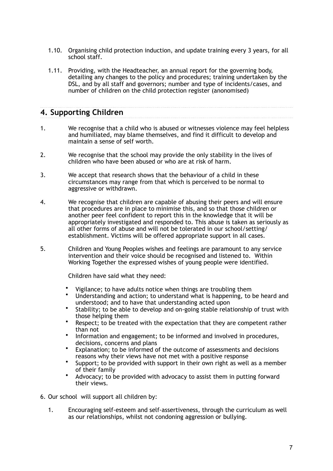- 1.10. Organising child protection induction, and update training every 3 years, for all school staff.
- 1.11. Providing, with the Headteacher, an annual report for the governing body, detailing any changes to the policy and procedures; training undertaken by the DSL, and by all staff and governors; number and type of incidents/cases, and number of children on the child protection register (anonomised)

## **4. Supporting Children**

- 1. We recognise that a child who is abused or witnesses violence may feel helpless and humiliated, may blame themselves, and find it difficult to develop and maintain a sense of self worth.
- 2. We recognise that the school may provide the only stability in the lives of children who have been abused or who are at risk of harm.
- 3. We accept that research shows that the behaviour of a child in these circumstances may range from that which is perceived to be normal to aggressive or withdrawn.
- 4. We recognise that children are capable of abusing their peers and will ensure that procedures are in place to minimise this, and so that those children or another peer feel confident to report this in the knowledge that it will be appropriately investigated and responded to. This abuse is taken as seriously as all other forms of abuse and will not be tolerated in our school/setting/ establishment. Victims will be offered appropriate support in all cases.
- 5. Children and Young Peoples wishes and feelings are paramount to any service intervention and their voice should be recognised and listened to. Within Working Together the expressed wishes of young people were identified.

Children have said what they need:

- Vigilance; to have adults notice when things are troubling them
- Understanding and action; to understand what is happening, to be heard and understood; and to have that understanding acted upon
- Stability; to be able to develop and on-going stable relationship of trust with those helping them
- Respect; to be treated with the expectation that they are competent rather than not
- Information and engagement; to be informed and involved in procedures, decisions, concerns and plans
- Explanation; to be informed of the outcome of assessments and decisions reasons why their views have not met with a positive response
- Support; to be provided with support in their own right as well as a member of their family
- Advocacy; to be provided with advocacy to assist them in putting forward their views.
- 6. Our school will support all children by:
	- 1. Encouraging self-esteem and self-assertiveness, through the curriculum as well as our relationships, whilst not condoning aggression or bullying.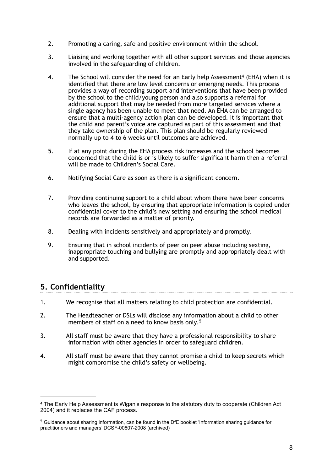- 2. Promoting a caring, safe and positive environment within the school.
- 3. Liaising and working together with all other support services and those agencies involved in the safeguarding of children.
- <span id="page-7-2"></span>4. The School will consider [t](#page-7-0)he need for an Early help Assessment<sup>[4](#page-7-0)</sup> (EHA) when it is identified that there are low level concerns or emerging needs. This process provides a way of recording support and interventions that have been provided by the school to the child/young person and also supports a referral for additional support that may be needed from more targeted services where a single agency has been unable to meet that need. An EHA can be arranged to ensure that a multi-agency action plan can be developed. It is important that the child and parent's voice are captured as part of this assessment and that they take ownership of the plan. This plan should be regularly reviewed normally up to 4 to 6 weeks until outcomes are achieved.
- 5. If at any point during the EHA process risk increases and the school becomes concerned that the child is or is likely to suffer significant harm then a referral will be made to Children's Social Care.
- 6. Notifying Social Care as soon as there is a significant concern.
- 7. Providing continuing support to a child about whom there have been concerns who leaves the school, by ensuring that appropriate information is copied under confidential cover to the child's new setting and ensuring the school medical records are forwarded as a matter of priority.
- 8. Dealing with incidents sensitively and appropriately and promptly.
- 9. Ensuring that in school incidents of peer on peer abuse including sexting, inappropriate touching and bullying are promptly and appropriately dealt with and supported.

## **5. Confidentiality**

- 1. We recognise that all matters relating to child protection are confidential.
- <span id="page-7-3"></span>2. The Headteacher or DSLs will disclose any information about a child to other members of staff on a need to know basis only.<sup>[5](#page-7-1)</sup>
- 3. All staff must be aware that they have a professional responsibility to share information with other agencies in order to safeguard children.
- 4. All staff must be aware that they cannot promise a child to keep secrets which might compromise the child's safety or wellbeing.

<span id="page-7-0"></span>The Early Help Assessment is Wigan's response to the statutory duty to cooperate (Children Act [4](#page-7-2) 2004) and it replaces the CAF process.

<span id="page-7-1"></span><sup>&</sup>lt;sup>[5](#page-7-3)</sup> Guidance about sharing information, can be found in the DfE booklet 'Information sharing guidance for practitioners and managers' DCSF-00807-2008 (archived)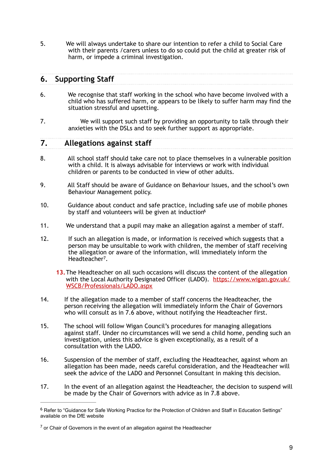5. We will always undertake to share our intention to refer a child to Social Care with their parents /carers unless to do so could put the child at greater risk of harm, or impede a criminal investigation.

## **6. Supporting Staff**

- 6. We recognise that staff working in the school who have become involved with a child who has suffered harm, or appears to be likely to suffer harm may find the situation stressful and upsetting.
- 7. We will support such staff by providing an opportunity to talk through their anxieties with the DSLs and to seek further support as appropriate.

## **7. Allegations against staff**

- 8. All school staff should take care not to place themselves in a vulnerable position with a child. It is always advisable for interviews or work with individual children or parents to be conducted in view of other adults.
- 9. All Staff should be aware of Guidance on Behaviour Issues, and the school's own Behaviour Management policy.
- <span id="page-8-2"></span>10. Guidance about conduct and safe practice, including safe use of mobile phones by staff and volunteers will be given at induction<sup>6</sup>
- 11. We understand that a pupil may make an allegation against a member of staff.
- <span id="page-8-3"></span>12. If such an allegation is made, or information is received which suggests that a person may be unsuitable to work with children, the member of staff receiving the allegation or aware of the information, will immediately inform the Headteacher<sup>[7](#page-8-1)</sup>.
	- **13.**The Headteacher on all such occasions will discuss the content of the allegation with the Local Authority Designated Officer (LADO). https://www.wigan.gov.uk/ WSCB/Professionals/LADO.aspx
- 14. If the allegation made to a member of staff concerns the Headteacher, the person receiving the allegation will immediately inform the Chair of Governors who will consult as in 7.6 above, without notifying the Headteacher first.
- 15. The school will follow Wigan Council's procedures for managing allegations against staff. Under no circumstances will we send a child home, pending such an investigation, unless this advice is given exceptionally, as a result of a consultation with the LADO.
- 16. Suspension of the member of staff, excluding the Headteacher, against whom an allegation has been made, needs careful consideration, and the Headteacher will seek the advice of the LADO and Personnel Consultant in making this decision.
- 17. In the event of an allegation against the Headteacher, the decision to suspend will be made by the Chair of Governors with advice as in 7.8 above.

<span id="page-8-0"></span><sup>&</sup>lt;sup>[6](#page-8-2)</sup> Refer to "Guidance for Safe Working Practice for the Protection of Children and Staff in Education Settings" available on the DfE website

<span id="page-8-1"></span> $<sup>7</sup>$  $<sup>7</sup>$  $<sup>7</sup>$  or Chair of Governors in the event of an allegation against the Headteacher</sup>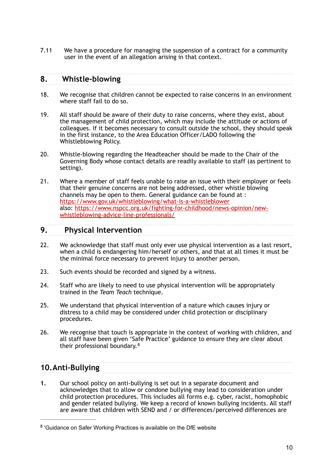7.11 We have a procedure for managing the suspension of a contract for a community user in the event of an allegation arising in that context.

### **8. Whistle-blowing**

- 18. We recognise that children cannot be expected to raise concerns in an environment where staff fail to do so.
- 19. All staff should be aware of their duty to raise concerns, where they exist, about the management of child protection, which may include the attitude or actions of colleagues. If it becomes necessary to consult outside the school, they should speak in the first instance, to the Area Education Officer/LADO following the Whistleblowing Policy.
- 20. Whistle-blowing regarding the Headteacher should be made to the Chair of the Governing Body whose contact details are readily available to staff (as pertinent to setting).
- 21. Where a member of staff feels unable to raise an issue with their employer or feels that their genuine concerns are not being addressed, other whistle blowing channels may be open to them. General guidance can be found at : <https://www.gov.uk/whistleblowing/what-is-a-whistleblower> [also: https://www.nspcc.org.uk/fighting-for-childhood/news-opinion/new](https://www.nspcc.org.uk/fighting-for-childhood/news-opinion/new-whistleblowing-advice-line-professionals/)[whistleblowing-advice-line-professionals/](https://www.nspcc.org.uk/fighting-for-childhood/news-opinion/new-whistleblowing-advice-line-professionals/)

## **9. Physical Intervention**

- 22. We acknowledge that staff must only ever use physical intervention as a last resort, when a child is endangering him/herself or others, and that at all times it must be the minimal force necessary to prevent injury to another person.
- 23. Such events should be recorded and signed by a witness.
- 24. Staff who are likely to need to use physical intervention will be appropriately trained in the *Team Teach* technique.
- 25. We understand that physical intervention of a nature which causes injury or distress to a child may be considered under child protection or disciplinary procedures.
- <span id="page-9-1"></span>26. We recognise that touch is appropriate in the context of working with children, and all staff have been given 'Safe Practice' guidance to ensure they are clear about their professional boundary.<sup>[8](#page-9-0)</sup>

## **10.Anti-Bullying**

**1.** Our school policy on anti-bullying is set out in a separate document and acknowledges that to allow or condone bullying may lead to consideration under child protection procedures. This includes all forms e.g. cyber, racist, homophobic and gender related bullying. We keep a record of known bullying incidents. All staff are aware that children with SEND and / or differences/perceived differences are

<span id="page-9-0"></span><sup>&</sup>lt;sup>[8](#page-9-1)</sup> 'Guidance on Safer Working Practices is available on the DfE website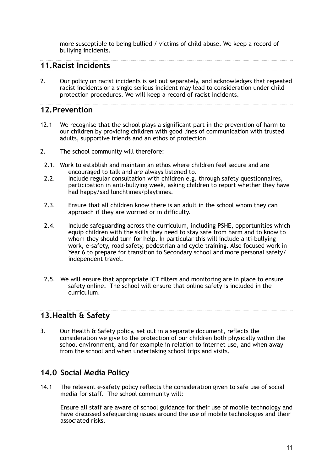more susceptible to being bullied / victims of child abuse. We keep a record of bullying incidents.

## **11.Racist Incidents**

2. Our policy on racist incidents is set out separately, and acknowledges that repeated racist incidents or a single serious incident may lead to consideration under child protection procedures. We will keep a record of racist incidents.

## **12.Prevention**

- 12.1 We recognise that the school plays a significant part in the prevention of harm to our children by providing children with good lines of communication with trusted adults, supportive friends and an ethos of protection.
- 2. The school community will therefore:
- 2.1. Work to establish and maintain an ethos where children feel secure and are encouraged to talk and are always listened to.
- 2.2. Include regular consultation with children e.g. through safety questionnaires, participation in anti-bullying week, asking children to report whether they have had happy/sad lunchtimes/playtimes.
- 2.3. Ensure that all children know there is an adult in the school whom they can approach if they are worried or in difficulty.
- 2.4. Include safeguarding across the curriculum, including PSHE, opportunities which equip children with the skills they need to stay safe from harm and to know to whom they should turn for help. In particular this will include anti-bullying work, e-safety, road safety, pedestrian and cycle training. Also focused work in Year 6 to prepare for transition to Secondary school and more personal safety/ independent travel.
- 2.5. We will ensure that appropriate ICT filters and monitoring are in place to ensure safety online. The school will ensure that online safety is included in the curriculum.

## **13.Health & Safety**

3. Our Health & Safety policy, set out in a separate document, reflects the consideration we give to the protection of our children both physically within the school environment, and for example in relation to internet use, and when away from the school and when undertaking school trips and visits.

## **14.0 Social Media Policy**

14.1 The relevant e-safety policy reflects the consideration given to safe use of social media for staff. The school community will:

 Ensure all staff are aware of school guidance for their use of mobile technology and have discussed safeguarding issues around the use of mobile technologies and their associated risks.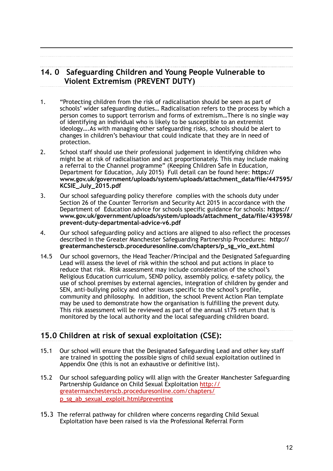## **14. 0 Safeguarding Children and Young People Vulnerable to Violent Extremism (PREVENT DUTY)**

- 1. "Protecting children from the risk of radicalisation should be seen as part of schools' wider safeguarding duties… Radicalisation refers to the process by which a person comes to support terrorism and forms of extremism…There is no single way of identifying an individual who is likely to be susceptible to an extremist ideology….As with managing other safeguarding risks, schools should be alert to changes in children's behaviour that could indicate that they are in need of protection.
- 2. School staff should use their professional judgement in identifying children who might be at risk of radicalisation and act proportionately. This may include making a referral to the Channel programme" (Keeping Children Safe in Education, Department for Education, July 2015) Full detail can be found here: **[https://](https://www.gov.uk/government/uploads/system/uploads/attachment_data/file/447595/KCSIE_July_2015.pdf) [www.gov.uk/government/uploads/system/uploads/attachment\\_data/file/447595/](https://www.gov.uk/government/uploads/system/uploads/attachment_data/file/447595/KCSIE_July_2015.pdf) [KCSIE\\_July\\_2015.pdf](https://www.gov.uk/government/uploads/system/uploads/attachment_data/file/447595/KCSIE_July_2015.pdf)**
- 3. Our school safeguarding policy therefore complies with the schools duty under Section 26 of the Counter Terrorism and Security Act 2015 in accordance with the Department of Education advice for schools specific guidance for schools: **[https://](https://www.gov.uk/government/uploads/system/uploads/attachment_data/file/439598/prevent-duty-departmental-advice-v6.pdf) [www.gov.uk/government/uploads/system/uploads/attachment\\_data/file/439598/](https://www.gov.uk/government/uploads/system/uploads/attachment_data/file/439598/prevent-duty-departmental-advice-v6.pdf) [prevent-duty-departmental-advice-v6.pdf](https://www.gov.uk/government/uploads/system/uploads/attachment_data/file/439598/prevent-duty-departmental-advice-v6.pdf)**
- 4. Our school safeguarding policy and actions are aligned to also reflect the processes described in the Greater Manchester Safeguarding Partnership Procedures: **[http://](http://greatermanchesterscb.proceduresonline.com/chapters/p_sg_vio_ext.html) [greatermanchesterscb.proceduresonline.com/chapters/p\\_sg\\_vio\\_ext.html](http://greatermanchesterscb.proceduresonline.com/chapters/p_sg_vio_ext.html)**
- 14.5 Our school governors, the Head Teacher/Principal and the Designated Safeguarding Lead will assess the level of risk within the school and put actions in place to reduce that risk. Risk assessment may include consideration of the school's Religious Education curriculum, SEND policy, assembly policy, e-safety policy, the use of school premises by external agencies, integration of children by gender and SEN, anti-bullying policy and other issues specific to the school's profile, community and philosophy. In addition, the school Prevent Action Plan template may be used to demonstrate how the organisation is fulfilling the prevent duty. This risk assessment will be reviewed as part of the annual s175 return that is monitored by the local authority and the local safeguarding children board.

## **15.0 Children at risk of sexual exploitation (CSE):**

- 15.1 Our school will ensure that the Designated Safeguarding Lead and other key staff are trained in spotting the possible signs of child sexual exploitation outlined in Appendix One (this is not an exhaustive or definitive list).
- 15.2 Our school safeguarding policy will align with the Greater Manchester Safeguarding Partnership Guidance on Child Sexual Exploitation [http://](http://greatermanchesterscb.proceduresonline.com/chapters/p_sg_ab_sexual_exploit.html%23preventing) [greatermanchesterscb.proceduresonline.com/chapters/](http://greatermanchesterscb.proceduresonline.com/chapters/p_sg_ab_sexual_exploit.html%23preventing) [p\\_sg\\_ab\\_sexual\\_exploit.html#preventing](http://greatermanchesterscb.proceduresonline.com/chapters/p_sg_ab_sexual_exploit.html%23preventing)
- 15.3 The referral pathway for children where concerns regarding Child Sexual Exploitation have been raised is via the Professional Referral Form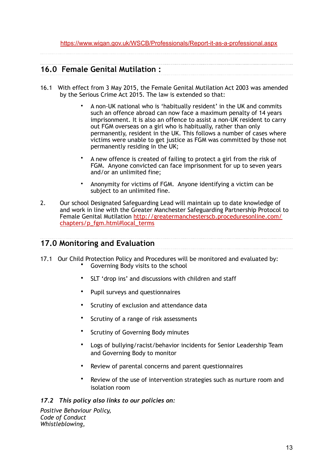## **16.0 Female Genital Mutilation :**

- 16.1 With effect from 3 May 2015, the Female Genital Mutilation Act 2003 was amended by the Serious Crime Act 2015. The law is extended so that:
	- A non-UK national who is 'habitually resident' in the UK and commits such an offence abroad can now face a maximum penalty of 14 years imprisonment. It is also an offence to assist a non-UK resident to carry out FGM overseas on a girl who is habitually, rather than only permanently, resident in the UK. This follows a number of cases where victims were unable to get justice as FGM was committed by those not permanently residing in the UK;
	- A new offence is created of failing to protect a girl from the risk of FGM. Anyone convicted can face imprisonment for up to seven years and/or an unlimited fine;
	- Anonymity for victims of FGM. Anyone identifying a victim can be subject to an unlimited fine.
- 2. Our school Designated Safeguarding Lead will maintain up to date knowledge of and work in line with the Greater Manchester Safeguarding Partnership Protocol to [Female Genital Mutilation http://greatermanchesterscb.proceduresonline.com/](http://greatermanchesterscb.proceduresonline.com/chapters/p_fgm.html%23local_terms) [chapters/p\\_fgm.html#local\\_terms](http://greatermanchesterscb.proceduresonline.com/chapters/p_fgm.html%23local_terms)

### **17.0 Monitoring and Evaluation**

- 17.1 Our Child Protection Policy and Procedures will be monitored and evaluated by: • Governing Body visits to the school
	- SLT 'drop ins' and discussions with children and staff
	- Pupil surveys and questionnaires
	- Scrutiny of exclusion and attendance data
	- Scrutiny of a range of risk assessments
	- Scrutiny of Governing Body minutes
	- Logs of bullying/racist/behavior incidents for Senior Leadership Team and Governing Body to monitor
	- Review of parental concerns and parent questionnaires
	- Review of the use of intervention strategies such as nurture room and isolation room

#### *17.2 This policy also links to our policies on:*

*Positive Behaviour Policy, Code of Conduct Whistleblowing,*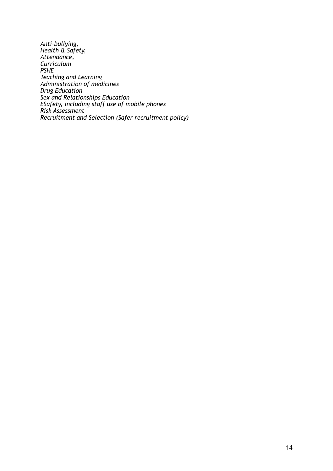*Anti-bullying, Health & Safety, Attendance, Curriculum PSHE Teaching and Learning Administration of medicines Drug Education Sex and Relationships Education ESafety, including staff use of mobile phones Risk Assessment Recruitment and Selection (Safer recruitment policy)*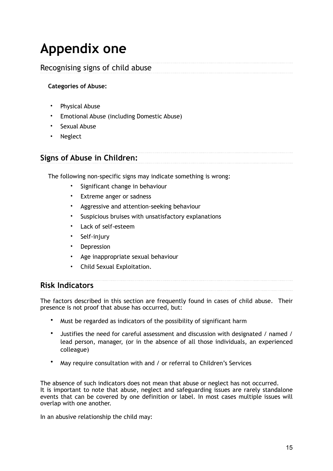## **Appendix one**

## Recognising signs of child abuse

### **Categories of Abuse:**

- Physical Abuse
- Emotional Abuse (including Domestic Abuse)
- Sexual Abuse
- Neglect

## **Signs of Abuse in Children:**

The following non-specific signs may indicate something is wrong:

- Significant change in behaviour
- Extreme anger or sadness
- Aggressive and attention-seeking behaviour
- Suspicious bruises with unsatisfactory explanations
- Lack of self-esteem
- Self-injury
- Depression
- Age inappropriate sexual behaviour
- Child Sexual Exploitation.

## **Risk Indicators**

The factors described in this section are frequently found in cases of child abuse. Their presence is not proof that abuse has occurred, but:

- Must be regarded as indicators of the possibility of significant harm
- Justifies the need for careful assessment and discussion with designated / named / lead person, manager, (or in the absence of all those individuals, an experienced colleague)
- May require consultation with and / or referral to Children's Services

The absence of such indicators does not mean that abuse or neglect has not occurred. It is important to note that abuse, neglect and safeguarding issues are rarely standalone events that can be covered by one definition or label. In most cases multiple issues will overlap with one another.

In an abusive relationship the child may: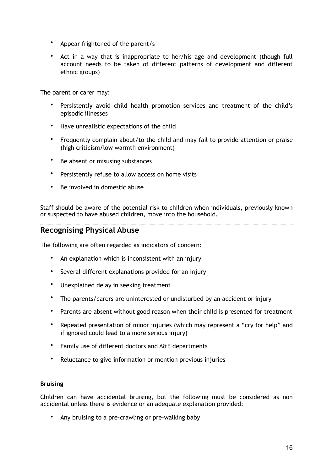- Appear frightened of the parent/s
- Act in a way that is inappropriate to her/his age and development (though full account needs to be taken of different patterns of development and different ethnic groups)

The parent or carer may:

- Persistently avoid child health promotion services and treatment of the child's episodic illnesses
- Have unrealistic expectations of the child
- Frequently complain about/to the child and may fail to provide attention or praise (high criticism/low warmth environment)
- Be absent or misusing substances
- Persistently refuse to allow access on home visits
- Be involved in domestic abuse

Staff should be aware of the potential risk to children when individuals, previously known or suspected to have abused children, move into the household.

#### **Recognising Physical Abuse**

The following are often regarded as indicators of concern:

- An explanation which is inconsistent with an injury
- Several different explanations provided for an injury
- Unexplained delay in seeking treatment
- The parents/carers are uninterested or undisturbed by an accident or injury
- Parents are absent without good reason when their child is presented for treatment
- Repeated presentation of minor injuries (which may represent a "cry for help" and if ignored could lead to a more serious injury)
- Family use of different doctors and A&E departments
- Reluctance to give information or mention previous injuries

#### **Bruising**

Children can have accidental bruising, but the following must be considered as non accidental unless there is evidence or an adequate explanation provided:

• Any bruising to a pre-crawling or pre-walking baby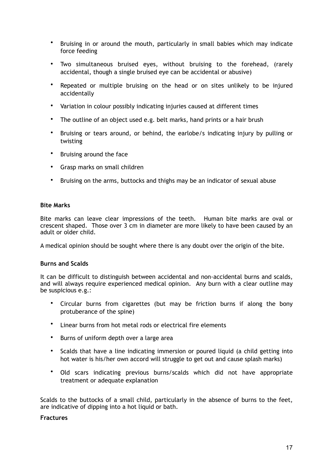- Bruising in or around the mouth, particularly in small babies which may indicate force feeding
- Two simultaneous bruised eyes, without bruising to the forehead, (rarely accidental, though a single bruised eye can be accidental or abusive)
- Repeated or multiple bruising on the head or on sites unlikely to be injured accidentally
- Variation in colour possibly indicating injuries caused at different times
- The outline of an object used e.g. belt marks, hand prints or a hair brush
- Bruising or tears around, or behind, the earlobe/s indicating injury by pulling or twisting
- Bruising around the face
- Grasp marks on small children
- Bruising on the arms, buttocks and thighs may be an indicator of sexual abuse

#### **Bite Marks**

Bite marks can leave clear impressions of the teeth. Human bite marks are oval or crescent shaped. Those over 3 cm in diameter are more likely to have been caused by an adult or older child.

A medical opinion should be sought where there is any doubt over the origin of the bite.

#### **Burns and Scalds**

It can be difficult to distinguish between accidental and non-accidental burns and scalds, and will always require experienced medical opinion. Any burn with a clear outline may be suspicious e.g.:

- Circular burns from cigarettes (but may be friction burns if along the bony protuberance of the spine)
- Linear burns from hot metal rods or electrical fire elements
- Burns of uniform depth over a large area
- Scalds that have a line indicating immersion or poured liquid (a child getting into hot water is his/her own accord will struggle to get out and cause splash marks)
- Old scars indicating previous burns/scalds which did not have appropriate treatment or adequate explanation

Scalds to the buttocks of a small child, particularly in the absence of burns to the feet, are indicative of dipping into a hot liquid or bath.

#### **Fractures**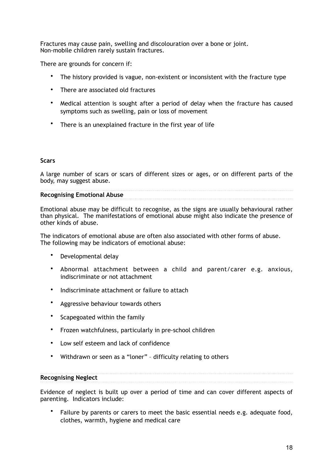Fractures may cause pain, swelling and discolouration over a bone or joint. Non-mobile children rarely sustain fractures.

There are grounds for concern if:

- The history provided is vague, non-existent or inconsistent with the fracture type
- There are associated old fractures
- Medical attention is sought after a period of delay when the fracture has caused symptoms such as swelling, pain or loss of movement
- There is an unexplained fracture in the first year of life

#### **Scars**

A large number of scars or scars of different sizes or ages, or on different parts of the body, may suggest abuse.

#### **Recognising Emotional Abuse**

Emotional abuse may be difficult to recognise, as the signs are usually behavioural rather than physical. The manifestations of emotional abuse might also indicate the presence of other kinds of abuse.

The indicators of emotional abuse are often also associated with other forms of abuse. The following may be indicators of emotional abuse:

- Developmental delay
- Abnormal attachment between a child and parent/carer e.g. anxious, indiscriminate or not attachment
- Indiscriminate attachment or failure to attach
- Aggressive behaviour towards others
- Scapegoated within the family
- Frozen watchfulness, particularly in pre-school children
- Low self esteem and lack of confidence
- Withdrawn or seen as a "loner" difficulty relating to others

#### **Recognising Neglect**

Evidence of neglect is built up over a period of time and can cover different aspects of parenting. Indicators include:

• Failure by parents or carers to meet the basic essential needs e.g. adequate food, clothes, warmth, hygiene and medical care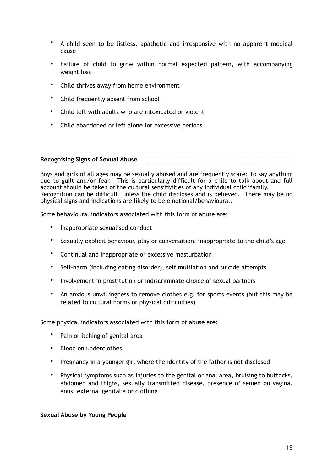- A child seen to be listless, apathetic and irresponsive with no apparent medical cause
- Failure of child to grow within normal expected pattern, with accompanying weight loss
- Child thrives away from home environment
- Child frequently absent from school
- Child left with adults who are intoxicated or violent
- Child abandoned or left alone for excessive periods

#### **Recognising Signs of Sexual Abuse**

Boys and girls of all ages may be sexually abused and are frequently scared to say anything due to guilt and/or fear. This is particularly difficult for a child to talk about and full account should be taken of the cultural sensitivities of any individual child/family. Recognition can be difficult, unless the child discloses and is believed. There may be no physical signs and indications are likely to be emotional/behavioural.

Some behavioural indicators associated with this form of abuse are:

- Inappropriate sexualised conduct
- Sexually explicit behaviour, play or conversation, inappropriate to the child's age
- Continual and inappropriate or excessive masturbation
- Self-harm (including eating disorder), self mutilation and suicide attempts
- Involvement in prostitution or indiscriminate choice of sexual partners
- An anxious unwillingness to remove clothes e.g. for sports events (but this may be related to cultural norms or physical difficulties)

Some physical indicators associated with this form of abuse are:

- Pain or itching of genital area
- Blood on underclothes
- Pregnancy in a younger girl where the identity of the father is not disclosed
- Physical symptoms such as injuries to the genital or anal area, bruising to buttocks, abdomen and thighs, sexually transmitted disease, presence of semen on vagina, anus, external genitalia or clothing

#### **Sexual Abuse by Young People**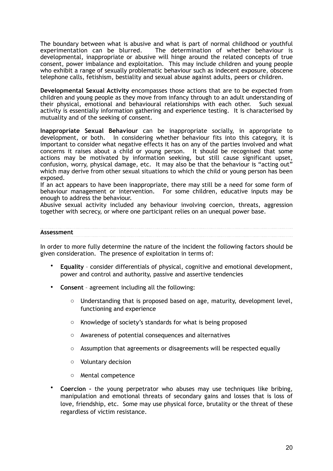The boundary between what is abusive and what is part of normal childhood or youthful experimentation can be blurred. The determination of whether behaviour is developmental, inappropriate or abusive will hinge around the related concepts of true consent, power imbalance and exploitation. This may include children and young people who exhibit a range of sexually problematic behaviour such as indecent exposure, obscene telephone calls, fetishism, bestiality and sexual abuse against adults, peers or children.

**Developmental Sexual Activity** encompasses those actions that are to be expected from children and young people as they move from infancy through to an adult understanding of their physical, emotional and behavioural relationships with each other. Such sexual activity is essentially information gathering and experience testing. It is characterised by mutuality and of the seeking of consent.

**Inappropriate Sexual Behaviour** can be inappropriate socially, in appropriate to development, or both. In considering whether behaviour fits into this category, it is important to consider what negative effects it has on any of the parties involved and what concerns it raises about a child or young person. It should be recognised that some actions may be motivated by information seeking, but still cause significant upset, confusion, worry, physical damage, etc. It may also be that the behaviour is "acting out" which may derive from other sexual situations to which the child or young person has been exposed.

If an act appears to have been inappropriate, there may still be a need for some form of behaviour management or intervention. For some children, educative inputs may be enough to address the behaviour.

Abusive sexual activity included any behaviour involving coercion, threats, aggression together with secrecy, or where one participant relies on an unequal power base.

#### **Assessment**

In order to more fully determine the nature of the incident the following factors should be given consideration. The presence of exploitation in terms of:

- **Equality**  consider differentials of physical, cognitive and emotional development, power and control and authority, passive and assertive tendencies
- **Consent** agreement including all the following:
	- o Understanding that is proposed based on age, maturity, development level, functioning and experience
	- o Knowledge of society's standards for what is being proposed
	- o Awareness of potential consequences and alternatives
	- $\circ$  Assumption that agreements or disagreements will be respected equally
	- o Voluntary decision
	- o Mental competence
- **Coercion -** the young perpetrator who abuses may use techniques like bribing, manipulation and emotional threats of secondary gains and losses that is loss of love, friendship, etc. Some may use physical force, brutality or the threat of these regardless of victim resistance.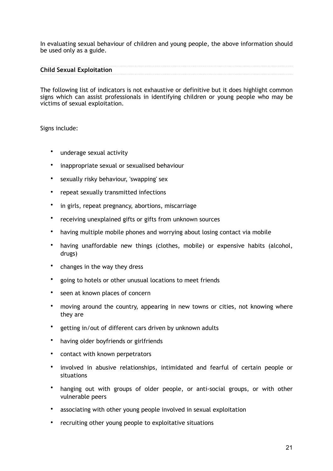In evaluating sexual behaviour of children and young people, the above information should be used only as a guide.

#### **Child Sexual Exploitation**

The following list of indicators is not exhaustive or definitive but it does highlight common signs which can assist professionals in identifying children or young people who may be victims of sexual exploitation.

#### Signs include:

- underage sexual activity
- inappropriate sexual or sexualised behaviour
- sexually risky behaviour, 'swapping' sex
- repeat sexually transmitted infections
- in girls, repeat pregnancy, abortions, miscarriage
- receiving unexplained gifts or gifts from unknown sources
- having multiple mobile phones and worrying about losing contact via mobile
- having unaffordable new things (clothes, mobile) or expensive habits (alcohol, drugs)
- changes in the way they dress
- going to hotels or other unusual locations to meet friends
- seen at known places of concern
- moving around the country, appearing in new towns or cities, not knowing where they are
- getting in/out of different cars driven by unknown adults
- having older boyfriends or girlfriends
- contact with known perpetrators
- involved in abusive relationships, intimidated and fearful of certain people or situations
- hanging out with groups of older people, or anti-social groups, or with other vulnerable peers
- associating with other young people involved in sexual exploitation
- recruiting other young people to exploitative situations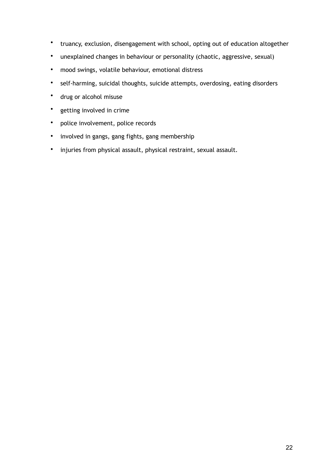- truancy, exclusion, disengagement with school, opting out of education altogether
- unexplained changes in behaviour or personality (chaotic, aggressive, sexual)
- mood swings, volatile behaviour, emotional distress
- self-harming, suicidal thoughts, suicide attempts, overdosing, eating disorders
- drug or alcohol misuse
- getting involved in crime
- police involvement, police records
- involved in gangs, gang fights, gang membership
- injuries from physical assault, physical restraint, sexual assault.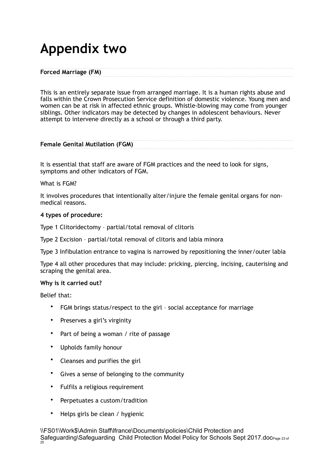## **Appendix two**

#### **Forced Marriage (FM)**

This is an entirely separate issue from arranged marriage. It is a human rights abuse and falls within the Crown Prosecution Service definition of domestic violence. Young men and women can be at risk in affected ethnic groups. Whistle-blowing may come from younger siblings. Other indicators may be detected by changes in adolescent behaviours. Never attempt to intervene directly as a school or through a third party.

#### **Female Genital Mutilation (FGM)**

It is essential that staff are aware of FGM practices and the need to look for signs, symptoms and other indicators of FGM.

#### What is FGM?

It involves procedures that intentionally alter/injure the female genital organs for nonmedical reasons.

#### **4 types of procedure:**

Type 1 Clitoridectomy – partial/total removal of clitoris

Type 2 Excision – partial/total removal of clitoris and labia minora

Type 3 Infibulation entrance to vagina is narrowed by repositioning the inner/outer labia

Type 4 all other procedures that may include: pricking, piercing, incising, cauterising and scraping the genital area.

#### **Why is it carried out?**

Belief that:

- FGM brings status/respect to the girl social acceptance for marriage
- Preserves a girl's virginity
- Part of being a woman / rite of passage
- Upholds family honour
- Cleanses and purifies the girl
- Gives a sense of belonging to the community
- Fulfils a religious requirement
- Perpetuates a custom/tradition
- Helps girls be clean / hygienic

\\FS01\Work\$\Admin Staff\lfrance\Documents\policies\Child Protection and Safeguarding\Safeguarding Child Protection Model Policy for Schools Sept 2017.docPage 23 of 25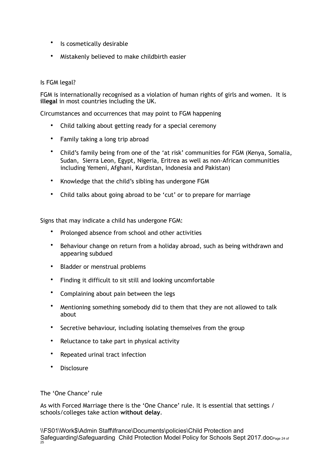- Is cosmetically desirable
- Mistakenly believed to make childbirth easier

#### Is FGM legal?

FGM is internationally recognised as a violation of human rights of girls and women. It is **illegal** in most countries including the UK.

Circumstances and occurrences that may point to FGM happening

- Child talking about getting ready for a special ceremony
- Family taking a long trip abroad
- Child's family being from one of the 'at risk' communities for FGM (Kenya, Somalia, Sudan, Sierra Leon, Egypt, Nigeria, Eritrea as well as non-African communities including Yemeni, Afghani, Kurdistan, Indonesia and Pakistan)
- Knowledge that the child's sibling has undergone FGM
- Child talks about going abroad to be 'cut' or to prepare for marriage

Signs that may indicate a child has undergone FGM:

- Prolonged absence from school and other activities
- Behaviour change on return from a holiday abroad, such as being withdrawn and appearing subdued
- Bladder or menstrual problems
- Finding it difficult to sit still and looking uncomfortable
- Complaining about pain between the legs
- Mentioning something somebody did to them that they are not allowed to talk about
- Secretive behaviour, including isolating themselves from the group
- Reluctance to take part in physical activity
- Repeated urinal tract infection
- Disclosure

#### The 'One Chance' rule

As with Forced Marriage there is the 'One Chance' rule. It is essential that settings / schools/colleges take action **without delay**.

\\FS01\Work\$\Admin Staff\lfrance\Documents\policies\Child Protection and Safeguarding\Safeguarding Child Protection Model Policy for Schools Sept 2017.docPage 24 of 25